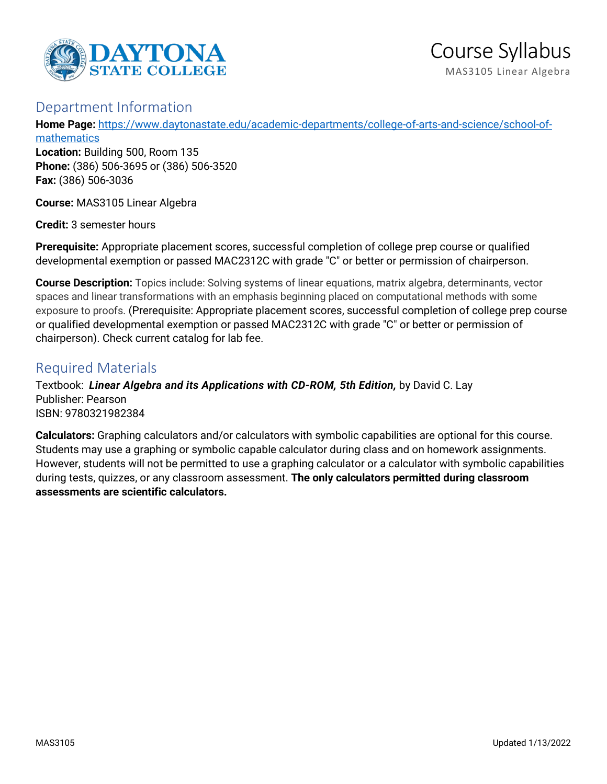

# Department Information

**Home Page:** [https://www.daytonastate.edu/academic-departments/college-of-arts-and-science/school-of](https://www.daytonastate.edu/academic-departments/college-of-arts-and-science/school-of-mathematics)[mathematics](https://www.daytonastate.edu/academic-departments/college-of-arts-and-science/school-of-mathematics)

**Location:** Building 500, Room 135 **Phone:** (386) 506-3695 or (386) 506-3520 **Fax:** (386) 506-3036

**Course:** MAS3105 Linear Algebra

**Credit:** 3 semester hours

**Prerequisite:** Appropriate placement scores, successful completion of college prep course or qualified developmental exemption or passed MAC2312C with grade "C" or better or permission of chairperson.

**Course Description:** Topics include: Solving systems of linear equations, matrix algebra, determinants, vector spaces and linear transformations with an emphasis beginning placed on computational methods with some exposure to proofs. (Prerequisite: Appropriate placement scores, successful completion of college prep course or qualified developmental exemption or passed MAC2312C with grade "C" or better or permission of chairperson). Check current catalog for lab fee.

# Required Materials

Textbook: *Linear Algebra and its Applications with CD-ROM, 5th Edition,* by David C. Lay Publisher: Pearson ISBN: 9780321982384

**Calculators:** Graphing calculators and/or calculators with symbolic capabilities are optional for this course. Students may use a graphing or symbolic capable calculator during class and on homework assignments. However, students will not be permitted to use a graphing calculator or a calculator with symbolic capabilities during tests, quizzes, or any classroom assessment. **The only calculators permitted during classroom assessments are scientific calculators.**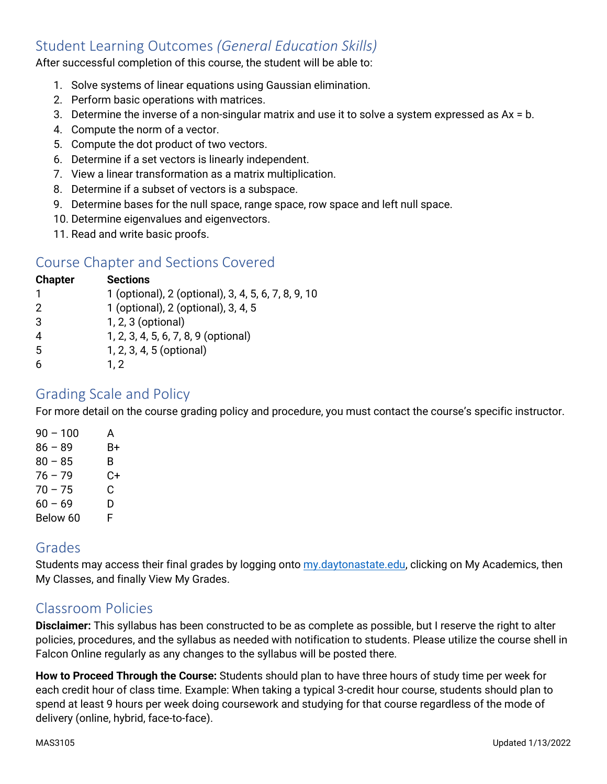# Student Learning Outcomes *(General Education Skills)*

After successful completion of this course, the student will be able to:

- 1. Solve systems of linear equations using Gaussian elimination.
- 2. Perform basic operations with matrices.
- 3. Determine the inverse of a non-singular matrix and use it to solve a system expressed as Ax = b.
- 4. Compute the norm of a vector.
- 5. Compute the dot product of two vectors.
- 6. Determine if a set vectors is linearly independent.
- 7. View a linear transformation as a matrix multiplication.
- 8. Determine if a subset of vectors is a subspace.
- 9. Determine bases for the null space, range space, row space and left null space.
- 10. Determine eigenvalues and eigenvectors.
- 11. Read and write basic proofs.

# Course Chapter and Sections Covered

| <b>Chapter</b> | <b>Sections</b>                                     |
|----------------|-----------------------------------------------------|
| 1              | 1 (optional), 2 (optional), 3, 4, 5, 6, 7, 8, 9, 10 |
| 2              | 1 (optional), 2 (optional), 3, 4, 5                 |
| 3              | 1, 2, 3 (optional)                                  |
| 4              | 1, 2, 3, 4, 5, 6, 7, 8, 9 (optional)                |
| 5              | 1, 2, 3, 4, 5 (optional)                            |
| 6              | 1, 2                                                |

### Grading Scale and Policy

For more detail on the course grading policy and procedure, you must contact the course's specific instructor.

| $90 - 100$ | А  |
|------------|----|
| $86 - 89$  | B+ |
| $80 - 85$  | B  |
| $76 - 79$  | C+ |
| $70 - 75$  | C  |
| $60 - 69$  | D  |
| Below 60   | F  |

## Grades

Students may access their final grades by logging onto [my.daytonastate.edu,](https://my.daytonastate.edu/) clicking on My Academics, then My Classes, and finally View My Grades.

## Classroom Policies

**Disclaimer:** This syllabus has been constructed to be as complete as possible, but I reserve the right to alter policies, procedures, and the syllabus as needed with notification to students. Please utilize the course shell in Falcon Online regularly as any changes to the syllabus will be posted there.

**How to Proceed Through the Course:** Students should plan to have three hours of study time per week for each credit hour of class time. Example: When taking a typical 3-credit hour course, students should plan to spend at least 9 hours per week doing coursework and studying for that course regardless of the mode of delivery (online, hybrid, face-to-face).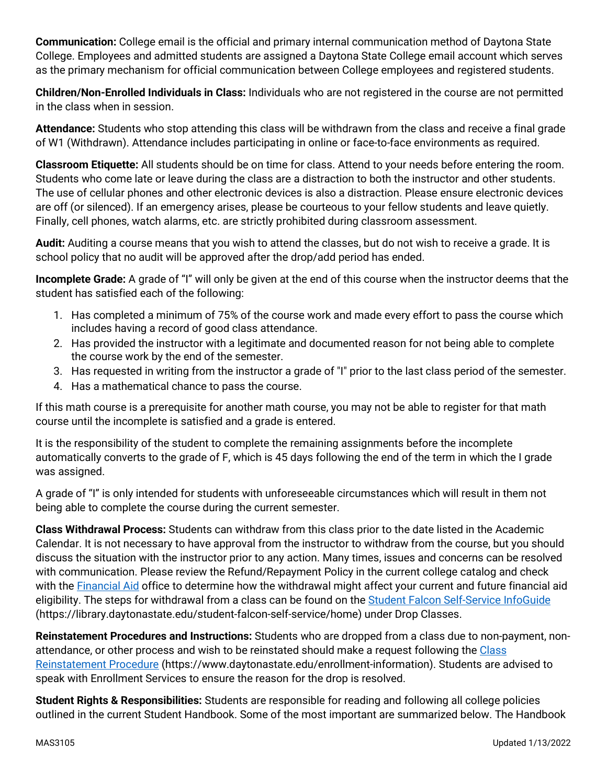**Communication:** College email is the official and primary internal communication method of Daytona State College. Employees and admitted students are assigned a Daytona State College email account which serves as the primary mechanism for official communication between College employees and registered students.

**Children/Non-Enrolled Individuals in Class:** Individuals who are not registered in the course are not permitted in the class when in session.

**Attendance:** Students who stop attending this class will be withdrawn from the class and receive a final grade of W1 (Withdrawn). Attendance includes participating in online or face-to-face environments as required.

**Classroom Etiquette:** All students should be on time for class. Attend to your needs before entering the room. Students who come late or leave during the class are a distraction to both the instructor and other students. The use of cellular phones and other electronic devices is also a distraction. Please ensure electronic devices are off (or silenced). If an emergency arises, please be courteous to your fellow students and leave quietly. Finally, cell phones, watch alarms, etc. are strictly prohibited during classroom assessment.

**Audit:** Auditing a course means that you wish to attend the classes, but do not wish to receive a grade. It is school policy that no audit will be approved after the drop/add period has ended.

**Incomplete Grade:** A grade of "I" will only be given at the end of this course when the instructor deems that the student has satisfied each of the following:

- 1. Has completed a minimum of 75% of the course work and made every effort to pass the course which includes having a record of good class attendance.
- 2. Has provided the instructor with a legitimate and documented reason for not being able to complete the course work by the end of the semester.
- 3. Has requested in writing from the instructor a grade of "I" prior to the last class period of the semester.
- 4. Has a mathematical chance to pass the course.

If this math course is a prerequisite for another math course, you may not be able to register for that math course until the incomplete is satisfied and a grade is entered.

It is the responsibility of the student to complete the remaining assignments before the incomplete automatically converts to the grade of F, which is 45 days following the end of the term in which the I grade was assigned.

A grade of "I" is only intended for students with unforeseeable circumstances which will result in them not being able to complete the course during the current semester.

**Class Withdrawal Process:** Students can withdraw from this class prior to the date listed in the Academic Calendar. It is not necessary to have approval from the instructor to withdraw from the course, but you should discuss the situation with the instructor prior to any action. Many times, issues and concerns can be resolved with communication. Please review the Refund/Repayment Policy in the current college catalog and check with the [Financial Aid](https://www.daytonastate.edu/financial-aid) office to determine how the withdrawal might affect your current and future financial aid eligibility. The steps for withdrawal from a class can be found on the [Student Falcon Self-Service InfoGuide](https://library.daytonastate.edu/student-falcon-self-service/home) (https://library.daytonastate.edu/student-falcon-self-service/home) under Drop Classes.

**Reinstatement Procedures and Instructions:** Students who are dropped from a class due to non-payment, nonattendance, or other process and wish to be reinstated should make a request following the [Class](https://www.daytonastate.edu/enrollment-information/index.html)  [Reinstatement Procedure](https://www.daytonastate.edu/enrollment-information/index.html) (https://www.daytonastate.edu/enrollment-information). Students are advised to speak with Enrollment Services to ensure the reason for the drop is resolved.

**Student Rights & Responsibilities:** Students are responsible for reading and following all college policies outlined in the current Student Handbook. Some of the most important are summarized below. The Handbook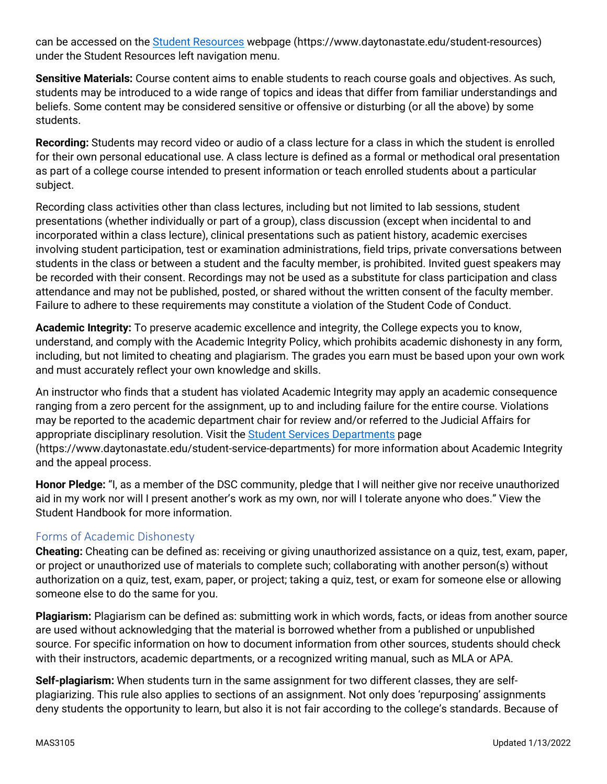can be accessed on the [Student Resources](https://www.daytonastate.edu/student-resources) webpage (https://www.daytonastate.edu/student-resources) under the Student Resources left navigation menu.

**Sensitive Materials:** Course content aims to enable students to reach course goals and objectives. As such, students may be introduced to a wide range of topics and ideas that differ from familiar understandings and beliefs. Some content may be considered sensitive or offensive or disturbing (or all the above) by some students.

**Recording:** Students may record video or audio of a class lecture for a class in which the student is enrolled for their own personal educational use. A class lecture is defined as a formal or methodical oral presentation as part of a college course intended to present information or teach enrolled students about a particular subject.

Recording class activities other than class lectures, including but not limited to lab sessions, student presentations (whether individually or part of a group), class discussion (except when incidental to and incorporated within a class lecture), clinical presentations such as patient history, academic exercises involving student participation, test or examination administrations, field trips, private conversations between students in the class or between a student and the faculty member, is prohibited. Invited guest speakers may be recorded with their consent. Recordings may not be used as a substitute for class participation and class attendance and may not be published, posted, or shared without the written consent of the faculty member. Failure to adhere to these requirements may constitute a violation of the Student Code of Conduct.

**Academic Integrity:** To preserve academic excellence and integrity, the College expects you to know, understand, and comply with the Academic Integrity Policy, which prohibits academic dishonesty in any form, including, but not limited to cheating and plagiarism. The grades you earn must be based upon your own work and must accurately reflect your own knowledge and skills.

An instructor who finds that a student has violated Academic Integrity may apply an academic consequence ranging from a zero percent for the assignment, up to and including failure for the entire course. Violations may be reported to the academic department chair for review and/or referred to the Judicial Affairs for appropriate disciplinary resolution. Visit the [Student Services Departments](https://www.daytonastate.edu/student-service-departments) page (https://www.daytonastate.edu/student-service-departments) for more information about Academic Integrity and the appeal process.

**Honor Pledge:** "I, as a member of the DSC community, pledge that I will neither give nor receive unauthorized aid in my work nor will I present another's work as my own, nor will I tolerate anyone who does." View the Student Handbook for more information.

#### Forms of Academic Dishonesty

**Cheating:** Cheating can be defined as: receiving or giving unauthorized assistance on a quiz, test, exam, paper, or project or unauthorized use of materials to complete such; collaborating with another person(s) without authorization on a quiz, test, exam, paper, or project; taking a quiz, test, or exam for someone else or allowing someone else to do the same for you.

**Plagiarism:** Plagiarism can be defined as: submitting work in which words, facts, or ideas from another source are used without acknowledging that the material is borrowed whether from a published or unpublished source. For specific information on how to document information from other sources, students should check with their instructors, academic departments, or a recognized writing manual, such as MLA or APA.

**Self-plagiarism:** When students turn in the same assignment for two different classes, they are selfplagiarizing. This rule also applies to sections of an assignment. Not only does 'repurposing' assignments deny students the opportunity to learn, but also it is not fair according to the college's standards. Because of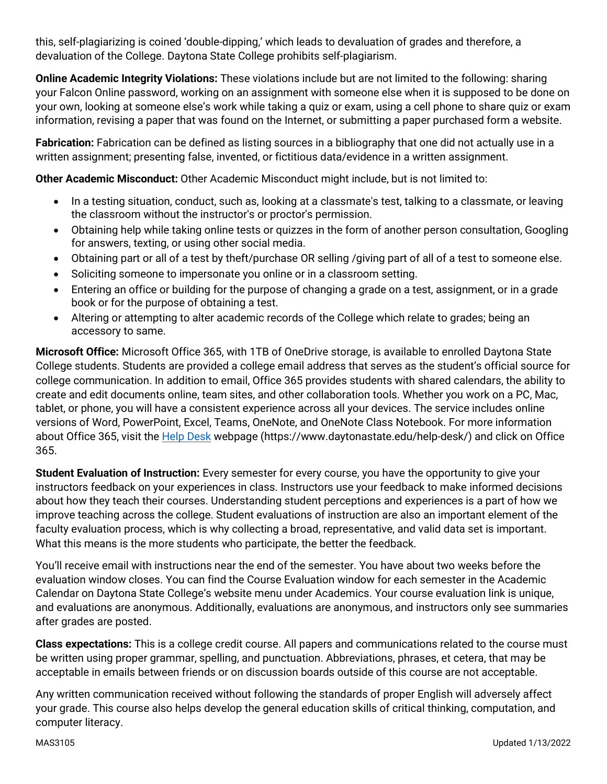this, self-plagiarizing is coined 'double-dipping,' which leads to devaluation of grades and therefore, a devaluation of the College. Daytona State College prohibits self-plagiarism.

**Online Academic Integrity Violations:** These violations include but are not limited to the following: sharing your Falcon Online password, working on an assignment with someone else when it is supposed to be done on your own, looking at someone else's work while taking a quiz or exam, using a cell phone to share quiz or exam information, revising a paper that was found on the Internet, or submitting a paper purchased form a website.

**Fabrication:** Fabrication can be defined as listing sources in a bibliography that one did not actually use in a written assignment; presenting false, invented, or fictitious data/evidence in a written assignment.

**Other Academic Misconduct:** Other Academic Misconduct might include, but is not limited to:

- In a testing situation, conduct, such as, looking at a classmate's test, talking to a classmate, or leaving the classroom without the instructor's or proctor's permission.
- Obtaining help while taking online tests or quizzes in the form of another person consultation, Googling for answers, texting, or using other social media.
- Obtaining part or all of a test by theft/purchase OR selling /giving part of all of a test to someone else.
- Soliciting someone to impersonate you online or in a classroom setting.
- Entering an office or building for the purpose of changing a grade on a test, assignment, or in a grade book or for the purpose of obtaining a test.
- Altering or attempting to alter academic records of the College which relate to grades; being an accessory to same.

**Microsoft Office:** Microsoft Office 365, with 1TB of OneDrive storage, is available to enrolled Daytona State College students. Students are provided a college email address that serves as the student's official source for college communication. In addition to email, Office 365 provides students with shared calendars, the ability to create and edit documents online, team sites, and other collaboration tools. Whether you work on a PC, Mac, tablet, or phone, you will have a consistent experience across all your devices. The service includes online versions of Word, PowerPoint, Excel, Teams, OneNote, and OneNote Class Notebook. For more information about Office 365, visit the [Help Desk](https://www.daytonastate.edu/help-desk/) webpage (https://www.daytonastate.edu/help-desk/) and click on Office 365.

**Student Evaluation of Instruction:** Every semester for every course, you have the opportunity to give your instructors feedback on your experiences in class. Instructors use your feedback to make informed decisions about how they teach their courses. Understanding student perceptions and experiences is a part of how we improve teaching across the college. Student evaluations of instruction are also an important element of the faculty evaluation process, which is why collecting a broad, representative, and valid data set is important. What this means is the more students who participate, the better the feedback.

You'll receive email with instructions near the end of the semester. You have about two weeks before the evaluation window closes. You can find the Course Evaluation window for each semester in the Academic Calendar on Daytona State College's website menu under Academics. Your course evaluation link is unique, and evaluations are anonymous. Additionally, evaluations are anonymous, and instructors only see summaries after grades are posted.

**Class expectations:** This is a college credit course. All papers and communications related to the course must be written using proper grammar, spelling, and punctuation. Abbreviations, phrases, et cetera, that may be acceptable in emails between friends or on discussion boards outside of this course are not acceptable.

Any written communication received without following the standards of proper English will adversely affect your grade. This course also helps develop the general education skills of critical thinking, computation, and computer literacy.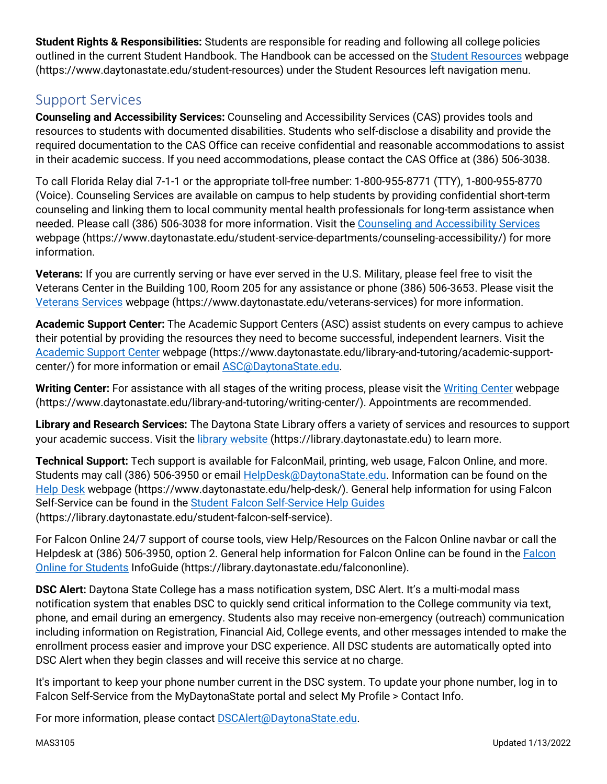**Student Rights & Responsibilities:** Students are responsible for reading and following all college policies outlined in the current Student Handbook. The Handbook can be accessed on the [Student Resources](https://www.daytonastate.edu/student-resources) webpage (https://www.daytonastate.edu/student-resources) under the Student Resources left navigation menu.

# Support Services

**Counseling and Accessibility Services:** Counseling and Accessibility Services (CAS) provides tools and resources to students with documented disabilities. Students who self-disclose a disability and provide the required documentation to the CAS Office can receive confidential and reasonable accommodations to assist in their academic success. If you need accommodations, please contact the CAS Office at (386) 506-3038.

To call Florida Relay dial 7-1-1 or the appropriate toll-free number: 1-800-955-8771 (TTY), 1-800-955-8770 (Voice). Counseling Services are available on campus to help students by providing confidential short-term counseling and linking them to local community mental health professionals for long-term assistance when needed. Please call (386) 506-3038 for more information. Visit the [Counseling and Accessibility Services](https://www.daytonastate.edu/student-service-departments/counseling-accessibility/) webpage (https://www.daytonastate.edu/student-service-departments/counseling-accessibility/) for more information.

**Veterans:** If you are currently serving or have ever served in the U.S. Military, please feel free to visit the Veterans Center in the Building 100, Room 205 for any assistance or phone (386) 506-3653. Please visit the [Veterans Services](https://www.daytonastate.edu/veterans-services) webpage (https://www.daytonastate.edu/veterans-services) for more information.

**Academic Support Center:** The Academic Support Centers (ASC) assist students on every campus to achieve their potential by providing the resources they need to become successful, independent learners. Visit the [Academic Support Center](https://www.daytonastate.edu/library-and-tutoring/academic-support-center/index.html) webpage (https://www.daytonastate.edu/library-and-tutoring/academic-supportcenter/) for more information or email [ASC@DaytonaState.edu.](mailto:ASC@DaytonaState.edu)

**Writing Center:** For assistance with all stages of the writing process, please visit the [Writing Center](https://www.daytonastate.edu/library-and-tutoring/writing-center/) webpage (https://www.daytonastate.edu/library-and-tutoring/writing-center/). Appointments are recommended.

**Library and Research Services:** The Daytona State Library offers a variety of services and resources to support your academic success. Visit the [library website \(](https://library.daytonastate.edu/index)https://library.daytonastate.edu) to learn more.

**Technical Support:** Tech support is available for FalconMail, printing, web usage, Falcon Online, and more. Students may call (386) 506-3950 or email [HelpDesk@DaytonaState.edu.](mailto:HelpDesk@DaytonaState.edu) Information can be found on the [Help Desk](https://www.daytonastate.edu/help-desk/) webpage (https://www.daytonastate.edu/help-desk/). General help information for using Falcon Self-Service can be found in the [Student Falcon Self-Service Help Guides](https://library.daytonastate.edu/student-falcon-self-service) (https://library.daytonastate.edu/student-falcon-self-service).

For Falcon Online 24/7 support of course tools, view Help/Resources on the Falcon Online navbar or call the Helpdesk at (386) 506-3950, option 2. General help information for [Falcon](https://library.daytonastate.edu/falcononline) Online can be found in the Falcon [Online for Students](https://library.daytonastate.edu/falcononline) InfoGuide (https://library.daytonastate.edu/falcononline).

**DSC Alert:** Daytona State College has a mass notification system, DSC Alert. It's a multi-modal mass notification system that enables DSC to quickly send critical information to the College community via text, phone, and email during an emergency. Students also may receive non-emergency (outreach) communication including information on Registration, Financial Aid, College events, and other messages intended to make the enrollment process easier and improve your DSC experience. All DSC students are automatically opted into DSC Alert when they begin classes and will receive this service at no charge.

It's important to keep your phone number current in the DSC system. To update your phone number, log in to Falcon Self-Service from the MyDaytonaState portal and select My Profile > Contact Info.

For more information, please contact **DSCAlert**@DaytonaState.edu.